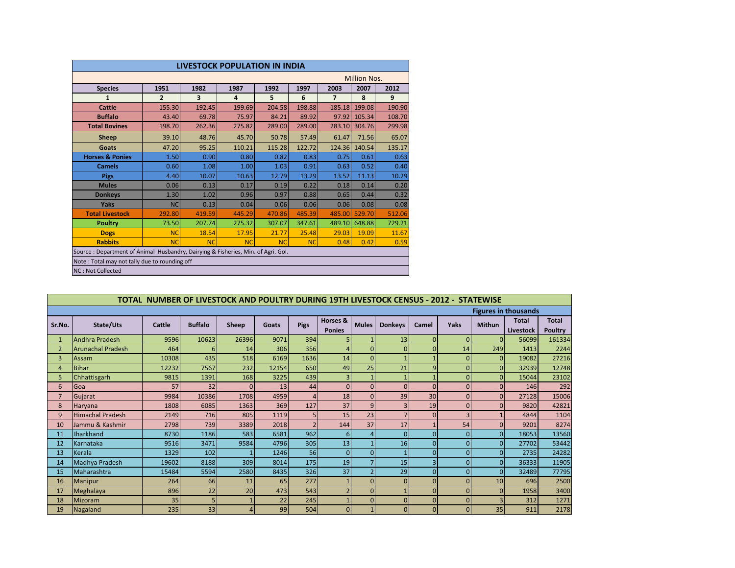| <b>LIVESTOCK POPULATION IN INDIA</b>                                             |                |                         |           |           |           |                |        |        |  |  |
|----------------------------------------------------------------------------------|----------------|-------------------------|-----------|-----------|-----------|----------------|--------|--------|--|--|
| <b>Million Nos.</b>                                                              |                |                         |           |           |           |                |        |        |  |  |
| <b>Species</b>                                                                   | 1951           | 1982                    | 1987      | 1992      | 1997      | 2003           | 2007   | 2012   |  |  |
| 1                                                                                | $\overline{2}$ | $\overline{\mathbf{3}}$ | 4         | 5         | 6         | $\overline{7}$ | 8      | 9      |  |  |
| <b>Cattle</b>                                                                    | 155.30         | 192.45                  | 199.69    | 204.58    | 198.88    | 185.18         | 199.08 | 190.90 |  |  |
| <b>Buffalo</b>                                                                   | 43.40          | 69.78                   | 75.97     | 84.21     | 89.92     | 97.92          | 105.34 | 108.70 |  |  |
| <b>Total Bovines</b>                                                             | 198.70         | 262.36                  | 275.82    | 289.00    | 289.00    | 283.10         | 304.76 | 299.98 |  |  |
| Sheep                                                                            | 39.10          | 48.76                   | 45.70     | 50.78     | 57.49     | 61.47          | 71.56  | 65.07  |  |  |
| Goats                                                                            | 47.20          | 95.25                   | 110.21    | 115.28    | 122.72    | 124.36         | 140.54 | 135.17 |  |  |
| <b>Horses &amp; Ponies</b>                                                       | 1.50           | 0.90                    | 0.80      | 0.82      | 0.83      | 0.75           | 0.61   | 0.63   |  |  |
| <b>Camels</b>                                                                    | 0.60           | 1.08                    | 1.00      | 1.03      | 0.91      | 0.63           | 0.52   | 0.40   |  |  |
| <b>Pigs</b>                                                                      | 4.40           | 10.07                   | 10.63     | 12.79     | 13.29     | 13.52          | 11.13  | 10.29  |  |  |
| <b>Mules</b>                                                                     | 0.06           | 0.13                    | 0.17      | 0.19      | 0.22      | 0.18           | 0.14   | 0.20   |  |  |
| <b>Donkeys</b>                                                                   | 1.30           | 1.02                    | 0.96      | 0.97      | 0.88      | 0.65           | 0.44   | 0.32   |  |  |
| Yaks                                                                             | <b>NC</b>      | 0.13                    | 0.04      | 0.06      | 0.06      | 0.06           | 0.08   | 0.08   |  |  |
| <b>Total Livestock</b>                                                           | 292.80         | 419.59                  | 445.29    | 470.86    | 485.39    | 485.00         | 529.70 | 512.06 |  |  |
| <b>Poultry</b>                                                                   | 73.50          | 207.74                  | 275.32    | 307.07    | 347.61    | 489.10         | 648.88 | 729.21 |  |  |
| <b>Dogs</b>                                                                      | <b>NC</b>      | 18.54                   | 17.95     | 21.77     | 25.48     | 29.03          | 19.09  | 11.67  |  |  |
| <b>Rabbits</b>                                                                   | <b>NC</b>      | <b>NC</b>               | <b>NC</b> | <b>NC</b> | <b>NC</b> | 0.48           | 0.42   | 0.59   |  |  |
| Source: Department of Animal Husbandry, Dairying & Fisheries, Min. of Agri. Gol. |                |                         |           |           |           |                |        |        |  |  |
| Note: Total may not tally due to rounding off                                    |                |                         |           |           |           |                |        |        |  |  |
| NC: Not Collected                                                                |                |                         |           |           |           |                |        |        |  |  |

|                             | TOTAL NUMBER OF LIVESTOCK AND POULTRY DURING 19TH LIVESTOCK CENSUS - 2012 - STATEWISE |        |                |          |       |                          |               |                |                |                |          |                |              |              |
|-----------------------------|---------------------------------------------------------------------------------------|--------|----------------|----------|-------|--------------------------|---------------|----------------|----------------|----------------|----------|----------------|--------------|--------------|
| <b>Figures in thousands</b> |                                                                                       |        |                |          |       |                          |               |                |                |                |          |                |              |              |
| Sr.No.                      | State/Uts                                                                             | Cattle | <b>Buffalo</b> | Sheep    | Goats | <b>Pigs</b>              | Horses &      | <b>Mules</b>   | <b>Donkeys</b> | Camel          | Yaks     | <b>Mithun</b>  | <b>Total</b> | <b>Total</b> |
|                             |                                                                                       |        |                |          |       |                          | <b>Ponies</b> |                |                |                |          |                | Livestock    | Poultry      |
| $\mathbf{1}$                | Andhra Pradesh                                                                        | 9596   | 10623          | 26396    | 9071  | 394                      |               |                | 13             | $\Omega$       | $\Omega$ | $\Omega$       | 56099        | 161334       |
| $\overline{2}$              | <b>Arunachal Pradesh</b>                                                              | 464    |                | 14       | 306   | 356                      |               | $\Omega$       | $\Omega$       | $\Omega$       | 14       | 249            | 1413         | 2244         |
| 3                           | Assam                                                                                 | 10308  | 435            | 518      | 6169  | 1636                     | 14            | $\Omega$       |                |                |          | $\Omega$       | 19082        | 27216        |
| 4                           | <b>Bihar</b>                                                                          | 12232  | 7567           | 232      | 12154 | 650                      | 49            | 25             | 21             | 9              | $\Omega$ | $\mathbf{0}$   | 32939        | 12748        |
| 5                           | Chhattisgarh                                                                          | 9815   | 1391           | 168      | 3225  | 439                      |               |                |                |                | $\Omega$ | $\Omega$       | 15044        | 23102        |
| 6                           | Goa                                                                                   | 57     | 32             | $\Omega$ | 13    | 44                       | $\Omega$      | $\Omega$       | $\Omega$       | $\Omega$       | $\Omega$ | $\Omega$       | 146          | 292          |
| $\overline{7}$              | Gujarat                                                                               | 9984   | 10386          | 1708     | 4959  | $\overline{a}$           | 18            | $\Omega$       | 39             | 30             | $\Omega$ | $\Omega$       | 27128        | 15006        |
| 8                           | Haryana                                                                               | 1808   | 6085           | 1363     | 369   | 127                      | 37            | 9              | 3              | 19             |          | $\Omega$       | 9820         | 42821        |
| 9                           | <b>Himachal Pradesh</b>                                                               | 2149   | 716            | 805      | 1119  | 5                        | 15            | 23             |                | $\Omega$       |          |                | 4844         | 1104         |
| 10                          | Jammu & Kashmir                                                                       | 2798   | 739            | 3389     | 2018  | $\overline{\phantom{a}}$ | 144           | 37             | 17             |                | 54       | $\Omega$       | 9201         | 8274         |
| 11                          | Jharkhand                                                                             | 8730   | 1186           | 583      | 6581  | 962                      | 6             | $\overline{4}$ | $\overline{0}$ | $\Omega$       | $\Omega$ | $\Omega$       | 18053        | 13560        |
| 12                          | Karnataka                                                                             | 9516   | 3471           | 9584     | 4796  | 305                      | 13            |                | 16             | $\Omega$       | $\Omega$ | $\Omega$       | 27702        | 53442        |
| 13                          | Kerala                                                                                | 1329   | 102            |          | 1246  | 56                       | $\Omega$      | $\Omega$       |                | $\Omega$       | $\Omega$ | $\Omega$       | 2735         | 24282        |
| 14                          | Madhya Pradesh                                                                        | 19602  | 8188           | 309      | 8014  | 175                      | 19            |                | 15             | 3 <sup>1</sup> | $\Omega$ | $\Omega$       | 36333        | 11905        |
| 15                          | Maharashtra                                                                           | 15484  | 5594           | 2580     | 8435  | 326                      | 37            |                | 29             | $\Omega$       | $\Omega$ | $\Omega$       | 32489        | 77795        |
| 16                          | <b>Manipur</b>                                                                        | 264    | 66             | 11       | 65    | 277                      |               | $\Omega$       | $\Omega$       | $\Omega$       |          | 10             | 696          | 2500         |
| 17                          | Meghalaya                                                                             | 896    | 22             | 20       | 473   | 543                      |               | $\Omega$       |                | $\Omega$       | $\Omega$ | $\Omega$       | 1958         | 3400         |
| 18                          | Mizoram                                                                               | 35     |                |          | 22    | 245                      |               | $\Omega$       | $\Omega$       | $\Omega$       | $\Omega$ | $\overline{3}$ | 312          | 1271         |
| 19                          | Nagaland                                                                              | 235    | 33             | 4        | 99    | 504                      |               |                | $\overline{0}$ | $\Omega$       |          | 35             | 911          | 2178         |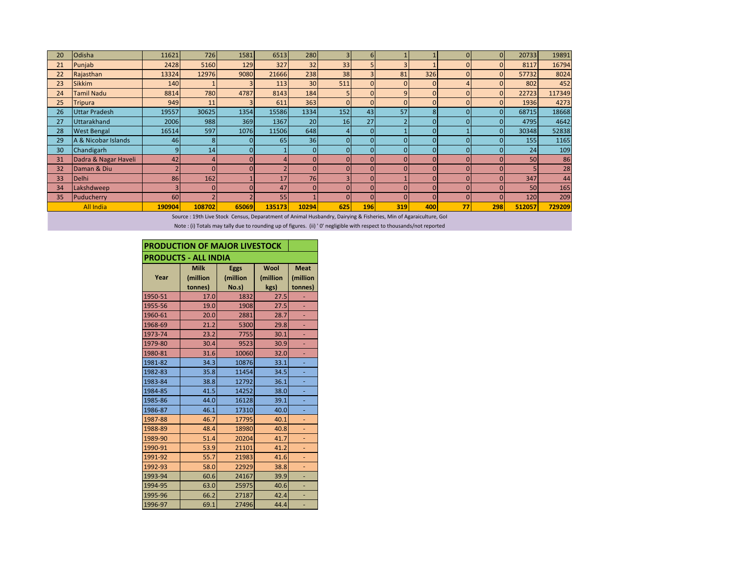| 20 | <b>Odisha</b>                                                                           | 11621          | 726    | 1581     | 6513           | 280             |          | 6          |          |          | $\Omega$       | $\Omega$ | 20733       | 19891  |
|----|-----------------------------------------------------------------------------------------|----------------|--------|----------|----------------|-----------------|----------|------------|----------|----------|----------------|----------|-------------|--------|
| 21 | Punjab                                                                                  | 2428           | 5160   | 129      | 327            | 32              | 33       |            |          |          | $\Omega$       |          | 8117        | 16794  |
| 22 | Rajasthan                                                                               | 13324          | 12976  | 9080     | 21666          | 238             | 38       |            | 81       | 326      | $\overline{0}$ |          | 57732       | 8024   |
| 23 | <b>Sikkim</b>                                                                           | 140            |        |          | 113            | 30 <sup>1</sup> | 511      | $\Omega$   |          | $\Omega$ | 4              |          | 802         | 452    |
| 24 | Tamil Nadu                                                                              | 8814           | 780    | 4787     | 8143           | 184             |          |            | 9        | $\Omega$ | $\Omega$       | $\Omega$ | 22723       | 117349 |
| 25 | <b>Tripura</b>                                                                          | 949            | 11     |          | 611            | 363             | $\Omega$ |            | $\Omega$ | $\Omega$ | $\Omega$       |          | 1936        | 4273   |
| 26 | <b>Uttar Pradesh</b>                                                                    | 19557          | 30625  | 1354     | 15586          | 1334            | 152      | 43         | 57       | 8        | $\Omega$       |          | 68715       | 18668  |
| 27 | <b>Uttarakhand</b>                                                                      | 2006           | 988    | 369      | 1367           | 20              | 16       | 27         |          |          | $\Omega$       |          | 4795        | 4642   |
| 28 | <b>West Bengal</b>                                                                      | 16514          | 597    | 1076     | 11506          | 648             | 4        | $\Omega$   |          |          |                | $\Omega$ | 30348       | 52838  |
| 29 | A & Nicobar Islands                                                                     | 46             |        | $\Omega$ | 65             | 36 <sup>1</sup> |          |            |          |          | $\Omega$       |          | <b>1551</b> | 1165   |
| 30 | Chandigarh                                                                              | $\overline{9}$ | 14     | $\Omega$ |                | $\mathbf{0}$    |          |            |          |          | $\Omega$       |          | 24          | 109    |
| 31 | Dadra & Nagar Haveli                                                                    | 42             |        | O        |                | $\mathbf{0}$    |          |            |          |          | $\Omega$       |          | 50          | 86     |
| 32 | Daman & Diu                                                                             | $\overline{2}$ |        | $\Omega$ | $\overline{2}$ | $\Omega$        | $\Omega$ |            |          |          | $\Omega$       |          |             | 28     |
| 33 | <b>Delhi</b>                                                                            | 86             | 162    |          | 17             | 76              |          |            |          |          | $\Omega$       |          | 347         | 44     |
| 34 | Lakshdweep                                                                              |                |        |          | 47             | $\Omega$        |          |            |          |          | $\Omega$       |          | 50          | 165    |
| 35 | Puducherry                                                                              | 60             |        |          | 55             |                 | $\Omega$ |            |          |          | $\Omega$       |          | 120         | 209    |
|    | <b>All India</b>                                                                        | 190904         | 108702 | 65069    | 135173         | 10294           | 625      | <b>196</b> | 319      | 400      | 77             | 298      | 512057      | 729209 |
|    | A considered and Allie Boundary (Actual) deal Battle Getting Public Attitude in the All |                |        |          |                |                 |          |            |          |          |                |          |             |        |

Source : 19th Live Stock Census, Deparatment of Animal Husbandry, Dairying & Fisheries, Min of Agaraiculture, GoI

Note : (i) Totals may tally due to rounding up of figures. (ii) ' 0' negligible with respect to thousands/not reported

| PRODUCTION OF MAJOR LIVESTOCK |                                    |                                  |      |                                    |  |  |  |  |
|-------------------------------|------------------------------------|----------------------------------|------|------------------------------------|--|--|--|--|
| <b>PRODUCTS - ALL INDIA</b>   |                                    |                                  |      |                                    |  |  |  |  |
| Year                          | <b>Milk</b><br>(million<br>tonnes) | <b>Eggs</b><br>(million<br>No.s) |      | <b>Meat</b><br>(million<br>tonnes) |  |  |  |  |
| 1950-51                       | 17.0                               | 1832                             | 27.5 |                                    |  |  |  |  |
| 1955-56                       | 19.0                               | 1908                             | 27.5 |                                    |  |  |  |  |
| 1960-61                       | 20.0                               | 2881                             | 28.7 |                                    |  |  |  |  |
| 1968-69                       | 21.2                               | 5300                             | 29.8 |                                    |  |  |  |  |
| 1973-74                       | 23.2                               | 7755                             | 30.1 |                                    |  |  |  |  |
| 1979-80                       | 30.4                               | 9523                             | 30.9 | ٠                                  |  |  |  |  |
| 1980-81                       | 31.6                               | 10060                            | 32.0 |                                    |  |  |  |  |
| 1981-82                       | 34.3                               | 10876                            | 33.1 |                                    |  |  |  |  |
| 1982-83                       | 35.8                               | 11454                            | 34.5 |                                    |  |  |  |  |
| 1983-84                       | 38.8                               | 12792                            | 36.1 |                                    |  |  |  |  |
| 1984-85                       | 41.5                               | 14252                            | 38.0 |                                    |  |  |  |  |
| 1985-86                       | 44.0                               | 16128                            | 39.1 |                                    |  |  |  |  |
| 1986-87                       | 46.1                               | 17310                            | 40.0 |                                    |  |  |  |  |
| 1987-88                       | 46.7                               | 17795                            | 40.1 |                                    |  |  |  |  |
| 1988-89                       | 48.4                               | 18980                            | 40.8 | ٠                                  |  |  |  |  |
| 1989-90                       | 51.4                               | 20204                            | 41.7 |                                    |  |  |  |  |
| 1990-91                       | 53.9                               | 21101                            | 41.2 |                                    |  |  |  |  |
| 1991-92                       | 55.7                               | 21983                            | 41.6 | ٠                                  |  |  |  |  |
| 1992-93                       | 58.0                               | 22929                            | 38.8 |                                    |  |  |  |  |
| 1993-94                       | 60.6                               | 24167                            | 39.9 |                                    |  |  |  |  |
| 1994-95                       | 63.0                               | 25975                            | 40.6 |                                    |  |  |  |  |
| 1995-96                       | 66.2                               | 27187                            | 42.4 |                                    |  |  |  |  |
| 1996-97                       | 69.1                               | 27496                            | 44.4 |                                    |  |  |  |  |